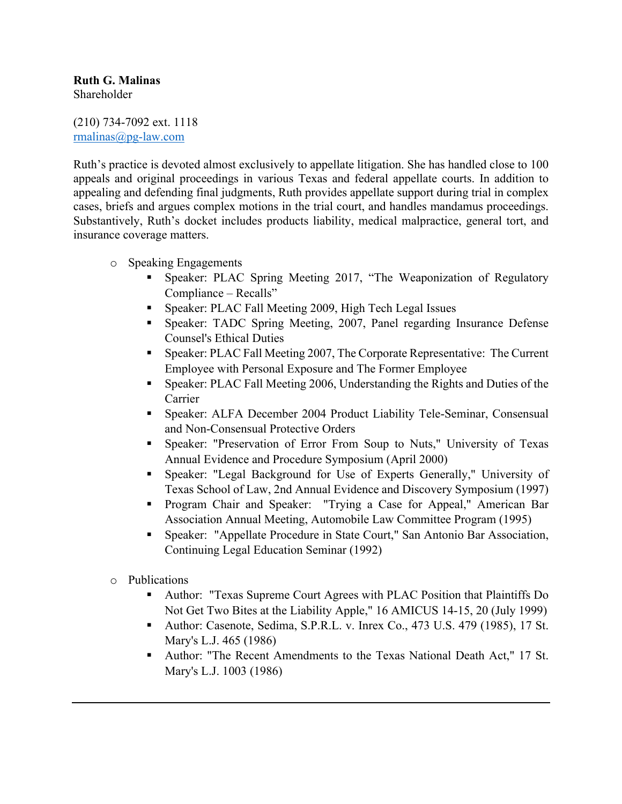## **Ruth G. Malinas** Shareholder

(210) 734-7092 ext. 1118 rmalinas@pg-law.com

Ruth's practice is devoted almost exclusively to appellate litigation. She has handled close to 100 appeals and original proceedings in various Texas and federal appellate courts. In addition to appealing and defending final judgments, Ruth provides appellate support during trial in complex cases, briefs and argues complex motions in the trial court, and handles mandamus proceedings. Substantively, Ruth's docket includes products liability, medical malpractice, general tort, and insurance coverage matters.

- o Speaking Engagements
	- § Speaker: PLAC Spring Meeting 2017, "The Weaponization of Regulatory Compliance – Recalls"
	- § Speaker: PLAC Fall Meeting 2009, High Tech Legal Issues
	- § Speaker: TADC Spring Meeting, 2007, Panel regarding Insurance Defense Counsel's Ethical Duties
	- § Speaker: PLAC Fall Meeting 2007, The Corporate Representative: The Current Employee with Personal Exposure and The Former Employee
	- § Speaker: PLAC Fall Meeting 2006, Understanding the Rights and Duties of the Carrier
	- § Speaker: ALFA December 2004 Product Liability Tele-Seminar, Consensual and Non-Consensual Protective Orders
	- Speaker: "Preservation of Error From Soup to Nuts," University of Texas Annual Evidence and Procedure Symposium (April 2000)
	- § Speaker: "Legal Background for Use of Experts Generally," University of Texas School of Law, 2nd Annual Evidence and Discovery Symposium (1997)
	- § Program Chair and Speaker: "Trying a Case for Appeal," American Bar Association Annual Meeting, Automobile Law Committee Program (1995)
	- § Speaker: "Appellate Procedure in State Court," San Antonio Bar Association, Continuing Legal Education Seminar (1992)
- o Publications
	- § Author: "Texas Supreme Court Agrees with PLAC Position that Plaintiffs Do Not Get Two Bites at the Liability Apple," 16 AMICUS 14-15, 20 (July 1999)
	- § Author: Casenote, Sedima, S.P.R.L. v. Inrex Co., 473 U.S. 479 (1985), 17 St. Mary's L.J. 465 (1986)
	- Author: "The Recent Amendments to the Texas National Death Act," 17 St. Mary's L.J. 1003 (1986)